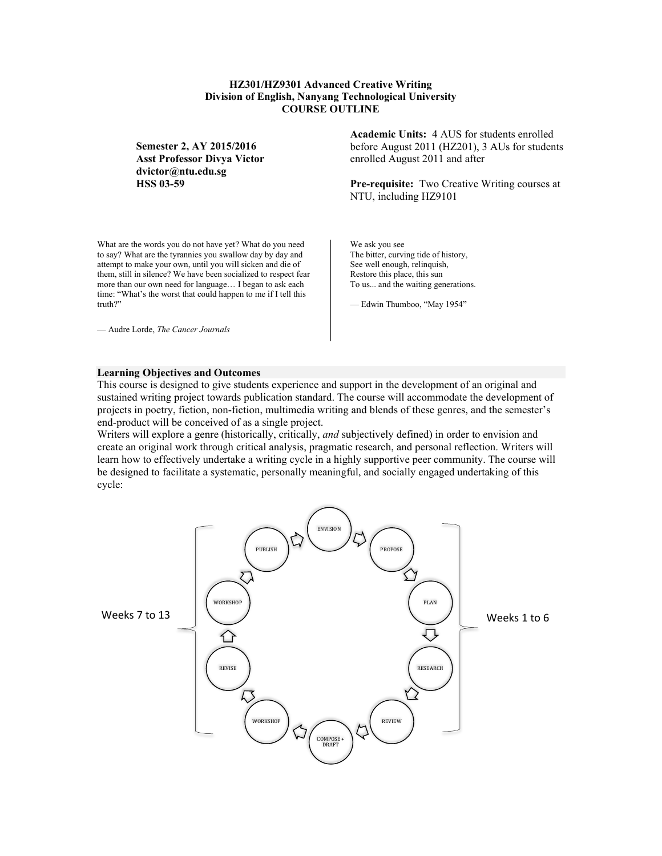## **HZ301/HZ9301 Advanced Creative Writing Division of English, Nanyang Technological University COURSE OUTLINE**

**Semester 2, AY 2015/2016 Asst Professor Divya Victor dvictor@ntu.edu.sg HSS 03-59**

What are the words you do not have yet? What do you need to say? What are the tyrannies you swallow day by day and attempt to make your own, until you will sicken and die of them, still in silence? We have been socialized to respect fear more than our own need for language… I began to ask each time: "What's the worst that could happen to me if I tell this truth?"

— Audre Lorde, *The Cancer Journals*

**Academic Units:** 4 AUS for students enrolled before August 2011 (HZ201), 3 AUs for students enrolled August 2011 and after

**Pre-requisite:** Two Creative Writing courses at NTU, including HZ9101

We ask you see The bitter, curving tide of history, See well enough, relinquish, Restore this place, this sun To us... and the waiting generations.

— Edwin Thumboo, "May 1954"

#### **Learning Objectives and Outcomes**

This course is designed to give students experience and support in the development of an original and sustained writing project towards publication standard. The course will accommodate the development of projects in poetry, fiction, non-fiction, multimedia writing and blends of these genres, and the semester's end-product will be conceived of as a single project.

Writers will explore a genre (historically, critically, *and* subjectively defined) in order to envision and create an original work through critical analysis, pragmatic research, and personal reflection. Writers will learn how to effectively undertake a writing cycle in a highly supportive peer community. The course will be designed to facilitate a systematic, personally meaningful, and socially engaged undertaking of this cycle:

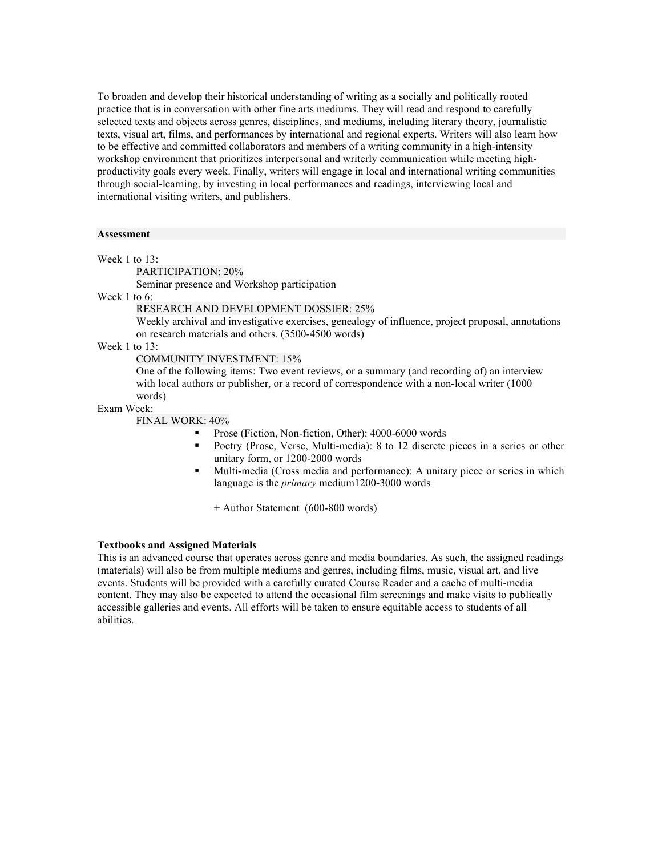To broaden and develop their historical understanding of writing as a socially and politically rooted practice that is in conversation with other fine arts mediums. They will read and respond to carefully selected texts and objects across genres, disciplines, and mediums, including literary theory, journalistic texts, visual art, films, and performances by international and regional experts. Writers will also learn how to be effective and committed collaborators and members of a writing community in a high-intensity workshop environment that prioritizes interpersonal and writerly communication while meeting highproductivity goals every week. Finally, writers will engage in local and international writing communities through social-learning, by investing in local performances and readings, interviewing local and international visiting writers, and publishers.

#### **Assessment**

Week 1 to 13:

PARTICIPATION: 20%

Seminar presence and Workshop participation

Week 1 to 6:

RESEARCH AND DEVELOPMENT DOSSIER: 25%

Weekly archival and investigative exercises, genealogy of influence, project proposal, annotations on research materials and others. (3500-4500 words)

Week 1 to 13:

COMMUNITY INVESTMENT: 15%

One of the following items: Two event reviews, or a summary (and recording of) an interview with local authors or publisher, or a record of correspondence with a non-local writer (1000 words)

Exam Week:

FINAL WORK: 40%

- Prose (Fiction, Non-fiction, Other): 4000-6000 words
- Poetry (Prose, Verse, Multi-media): 8 to 12 discrete pieces in a series or other unitary form, or 1200-2000 words
- Multi-media (Cross media and performance): A unitary piece or series in which language is the *primary* medium1200-3000 words

+ Author Statement (600-800 words)

### **Textbooks and Assigned Materials**

This is an advanced course that operates across genre and media boundaries. As such, the assigned readings (materials) will also be from multiple mediums and genres, including films, music, visual art, and live events. Students will be provided with a carefully curated Course Reader and a cache of multi-media content. They may also be expected to attend the occasional film screenings and make visits to publically accessible galleries and events. All efforts will be taken to ensure equitable access to students of all abilities.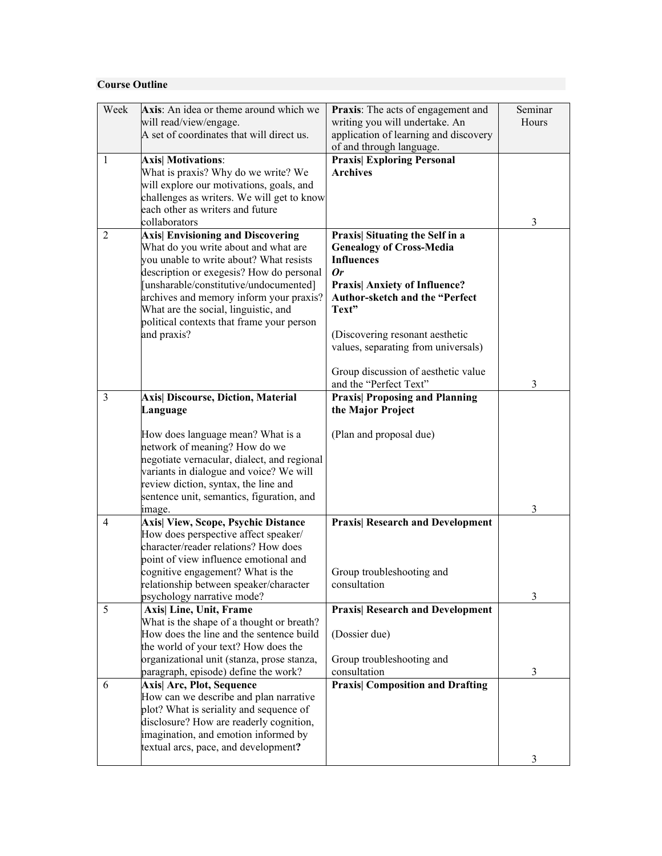# **Course Outline**

| Week           |                                             |                                         |         |
|----------------|---------------------------------------------|-----------------------------------------|---------|
|                | Axis: An idea or theme around which we      | Praxis: The acts of engagement and      | Seminar |
|                | will read/view/engage.                      | writing you will undertake. An          | Hours   |
|                | A set of coordinates that will direct us.   | application of learning and discovery   |         |
|                |                                             | of and through language.                |         |
| 1              | <b>Axis</b> Motivations:                    | <b>Praxis</b> Exploring Personal        |         |
|                | What is praxis? Why do we write? We         | <b>Archives</b>                         |         |
|                | will explore our motivations, goals, and    |                                         |         |
|                | challenges as writers. We will get to know  |                                         |         |
|                | each other as writers and future            |                                         |         |
|                | collaborators                               |                                         | 3       |
| $\overline{2}$ | <b>Axis</b> Envisioning and Discovering     | Praxis  Situating the Self in a         |         |
|                | What do you write about and what are        | <b>Genealogy of Cross-Media</b>         |         |
|                | you unable to write about? What resists     | <b>Influences</b>                       |         |
|                | description or exegesis? How do personal    | 0r                                      |         |
|                | [unsharable/constitutive/undocumented]      | <b>Praxis Anxiety of Influence?</b>     |         |
|                | archives and memory inform your praxis?     | Author-sketch and the "Perfect          |         |
|                | What are the social, linguistic, and        | Text"                                   |         |
|                | political contexts that frame your person   |                                         |         |
|                | and praxis?                                 | (Discovering resonant aesthetic         |         |
|                |                                             | values, separating from universals)     |         |
|                |                                             | Group discussion of aesthetic value     |         |
|                |                                             | and the "Perfect Text"                  | 3       |
| 3              | <b>Axis Discourse, Diction, Material</b>    | <b>Praxis Proposing and Planning</b>    |         |
|                | Language                                    | the Major Project                       |         |
|                |                                             |                                         |         |
|                | How does language mean? What is a           | (Plan and proposal due)                 |         |
|                | network of meaning? How do we               |                                         |         |
|                | negotiate vernacular, dialect, and regional |                                         |         |
|                | variants in dialogue and voice? We will     |                                         |         |
|                | review diction, syntax, the line and        |                                         |         |
|                | sentence unit, semantics, figuration, and   |                                         |         |
|                | image.                                      |                                         | 3       |
| 4              | <b>Axis View, Scope, Psychic Distance</b>   | <b>Praxis  Research and Development</b> |         |
|                | How does perspective affect speaker/        |                                         |         |
|                | character/reader relations? How does        |                                         |         |
|                | point of view influence emotional and       |                                         |         |
|                | cognitive engagement? What is the           | Group troubleshooting and               |         |
|                | relationship between speaker/character      | consultation                            |         |
|                | psychology narrative mode?                  |                                         | 3       |
| 5              | Axis  Line, Unit, Frame                     | <b>Praxis  Research and Development</b> |         |
|                | What is the shape of a thought or breath?   |                                         |         |
|                | How does the line and the sentence build    | (Dossier due)                           |         |
|                | the world of your text? How does the        |                                         |         |
|                | organizational unit (stanza, prose stanza,  | Group troubleshooting and               |         |
|                | paragraph, episode) define the work?        | consultation                            | 3       |
| 6              | Axis  Arc, Plot, Sequence                   | <b>Praxis</b> Composition and Drafting  |         |
|                | How can we describe and plan narrative      |                                         |         |
|                | plot? What is seriality and sequence of     |                                         |         |
|                | disclosure? How are readerly cognition,     |                                         |         |
|                | imagination, and emotion informed by        |                                         |         |
|                | textual arcs, pace, and development?        |                                         |         |
|                |                                             |                                         | 3       |